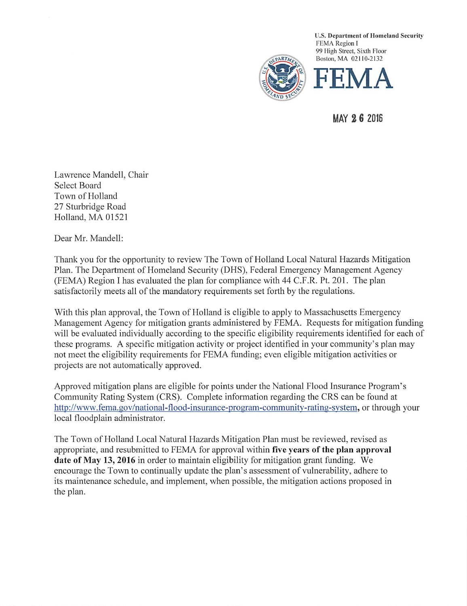

U.S. Department of Homeland Security FEMA Region I 99 High Street, Sixth Fioor Boston, MA 02110-2132



MAY 2 6 2016

Lawrence Mandell, Chair Select Board Town of Holland 27 Sturbridge Road Holland, MA 01521

Dear Mr. Mandell:

Thank you for the opportunity to review The Town of Holland Local Natural Hazards Mitigation Plan. The Department of Homeland Security (DHS), Federal Emergency Management Agency (FEMA) Region I has evaluated the plan for compliance with 44 C.F.R. Ft. 201. The plan satisfactorily meets all of the mandatory requirements set forth by the regulations.

With this plan approval, the Town of Holland is eligible to apply to Massachusetts Emergency Management Agency for mitigation grants administered by FEMA. Requests for mitigation funding will be evaluated individually according to the specific eligibility requirements identified for each of these programs. A specific mitigation activity or project identified in your community's plan may not meet the eligibility requirements for FEMA funding; even eligible mitigation activities or projects are not automatically approved.

Approved mitigation plans are eligible for points under the National Flood Insurance Program's Community Rating System (CRS). Complete information regarding the CRS can be found at http://www.fema.gov/national-flood-insurance-program-community-rating-system, or through your local floodplain administrator.

The Town of Holland Local Natural Hazards Mitigation Plan must be reviewed, revised as appropriate, and resubmitted to FEMA for approval within five years of the plan approval date of May 13,2016 in order to maintain eligibility for mitigation grant funding. We encourage the Town to continually update the plan's assessment of vulnerability, adhere to its maintenance schedule, and implement, when possible, the mitigation actions proposed in the plan.